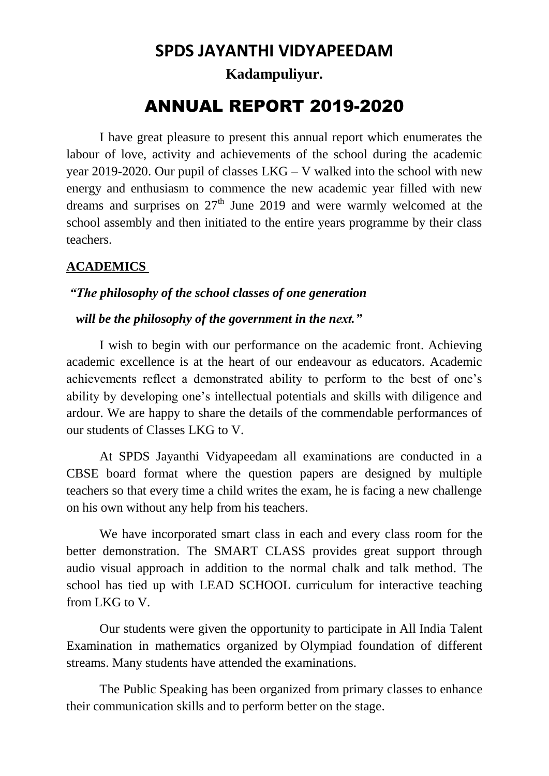# **SPDS JAYANTHI VIDYAPEEDAM Kadampuliyur.**

# ANNUAL REPORT 2019-2020

I have great pleasure to present this annual report which enumerates the labour of love, activity and achievements of the school during the academic year 2019-2020. Our pupil of classes LKG – V walked into the school with new energy and enthusiasm to commence the new academic year filled with new dreams and surprises on  $27<sup>th</sup>$  June 2019 and were warmly welcomed at the school assembly and then initiated to the entire years programme by their class teachers.

## **ACADEMICS**

#### *"The philosophy of the school classes of one generation*

#### *will be the philosophy of the government in the next."*

I wish to begin with our performance on the academic front. Achieving academic excellence is at the heart of our endeavour as educators. Academic achievements reflect a demonstrated ability to perform to the best of one's ability by developing one's intellectual potentials and skills with diligence and ardour. We are happy to share the details of the commendable performances of our students of Classes LKG to V.

At SPDS Jayanthi Vidyapeedam all examinations are conducted in a CBSE board format where the question papers are designed by multiple teachers so that every time a child writes the exam, he is facing a new challenge on his own without any help from his teachers.

We have incorporated smart class in each and every class room for the better demonstration. The SMART CLASS provides great support through audio visual approach in addition to the normal chalk and talk method. The school has tied up with LEAD SCHOOL curriculum for interactive teaching from LKG to V.

Our students were given the opportunity to participate in All India Talent Examination in mathematics organized by Olympiad foundation of different streams. Many students have attended the examinations.

The Public Speaking has been organized from primary classes to enhance their communication skills and to perform better on the stage.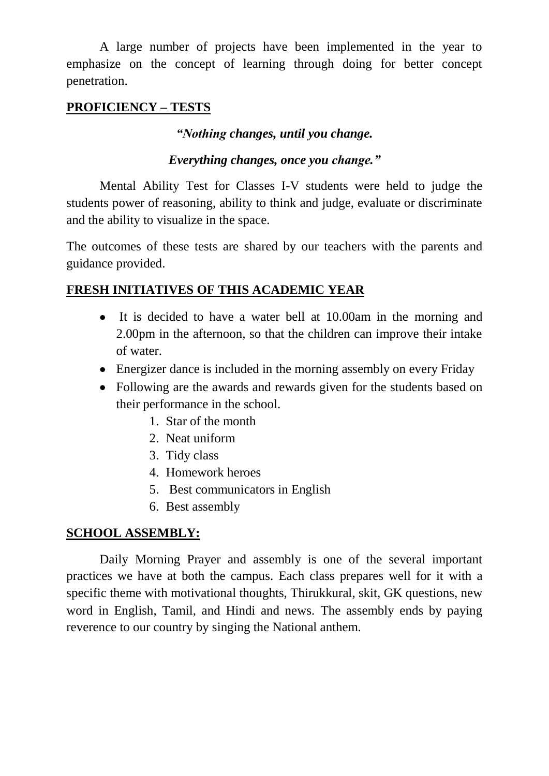A large number of projects have been implemented in the year to emphasize on the concept of learning through doing for better concept penetration.

# **PROFICIENCY – TESTS**

*"Nothing changes, until you change.*

### *Everything changes, once you change."*

Mental Ability Test for Classes I-V students were held to judge the students power of reasoning, ability to think and judge, evaluate or discriminate and the ability to visualize in the space.

The outcomes of these tests are shared by our teachers with the parents and guidance provided.

## **FRESH INITIATIVES OF THIS ACADEMIC YEAR**

- It is decided to have a water bell at 10.00am in the morning and 2.00pm in the afternoon, so that the children can improve their intake of water.
- Energizer dance is included in the morning assembly on every Friday
- Following are the awards and rewards given for the students based on their performance in the school.
	- 1. Star of the month
	- 2. Neat uniform
	- 3. Tidy class
	- 4. Homework heroes
	- 5. Best communicators in English
	- 6. Best assembly

## **SCHOOL ASSEMBLY:**

Daily Morning Prayer and assembly is one of the several important practices we have at both the campus. Each class prepares well for it with a specific theme with motivational thoughts, Thirukkural, skit, GK questions, new word in English, Tamil, and Hindi and news. The assembly ends by paying reverence to our country by singing the National anthem.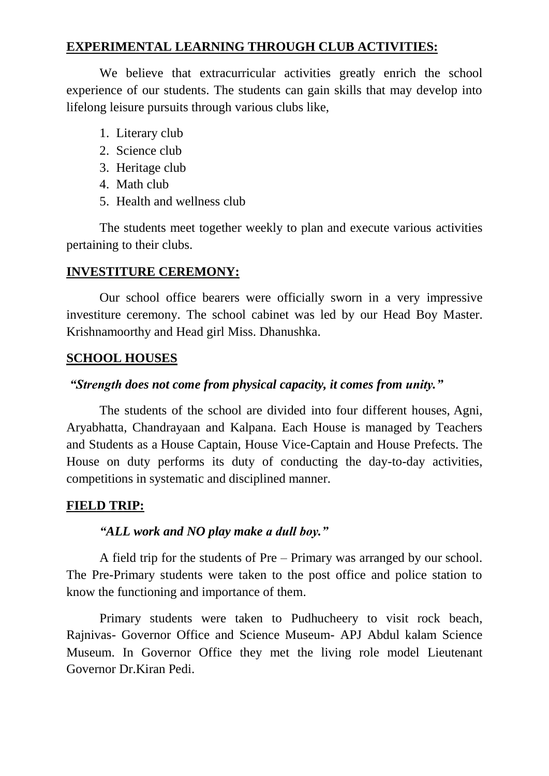### **EXPERIMENTAL LEARNING THROUGH CLUB ACTIVITIES:**

We believe that extracurricular activities greatly enrich the school experience of our students. The students can gain skills that may develop into lifelong leisure pursuits through various clubs like,

- 1. Literary club
- 2. Science club
- 3. Heritage club
- 4. Math club
- 5. Health and wellness club

The students meet together weekly to plan and execute various activities pertaining to their clubs.

## **INVESTITURE CEREMONY:**

Our school office bearers were officially sworn in a very impressive investiture ceremony. The school cabinet was led by our Head Boy Master. Krishnamoorthy and Head girl Miss. Dhanushka.

# **SCHOOL HOUSES**

# *"Strength does not come from physical capacity, it comes from unity."*

The students of the school are divided into four different houses, Agni, Aryabhatta, Chandrayaan and Kalpana. Each House is managed by Teachers and Students as a House Captain, House Vice-Captain and House Prefects. The House on duty performs its duty of conducting the day-to-day activities, competitions in systematic and disciplined manner.

## **FIELD TRIP:**

## *"ALL work and NO play make a dull boy."*

A field trip for the students of Pre – Primary was arranged by our school. The Pre-Primary students were taken to the post office and police station to know the functioning and importance of them.

Primary students were taken to Pudhucheery to visit rock beach, Rajnivas- Governor Office and Science Museum- APJ Abdul kalam Science Museum. In Governor Office they met the living role model Lieutenant Governor Dr.Kiran Pedi.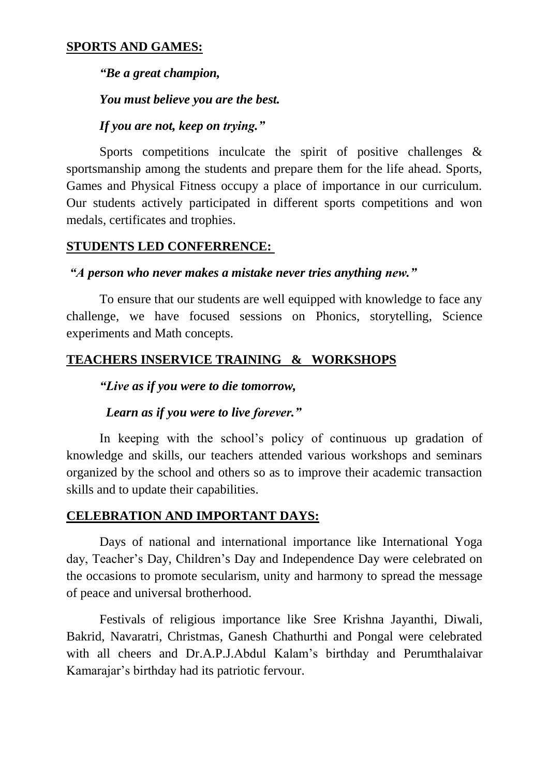#### **SPORTS AND GAMES:**

*"Be a great champion,*

*You must believe you are the best.*

*If you are not, keep on trying."*

Sports competitions inculcate the spirit of positive challenges & sportsmanship among the students and prepare them for the life ahead. Sports, Games and Physical Fitness occupy a place of importance in our curriculum. Our students actively participated in different sports competitions and won medals, certificates and trophies.

#### **STUDENTS LED CONFERRENCE:**

#### *"A person who never makes a mistake never tries anything new."*

To ensure that our students are well equipped with knowledge to face any challenge, we have focused sessions on Phonics, storytelling, Science experiments and Math concepts.

#### **TEACHERS INSERVICE TRAINING & WORKSHOPS**

*"Live as if you were to die tomorrow,*

#### *Learn as if you were to live forever."*

In keeping with the school's policy of continuous up gradation of knowledge and skills, our teachers attended various workshops and seminars organized by the school and others so as to improve their academic transaction skills and to update their capabilities.

#### **CELEBRATION AND IMPORTANT DAYS:**

Days of national and international importance like International Yoga day, Teacher's Day, Children's Day and Independence Day were celebrated on the occasions to promote secularism, unity and harmony to spread the message of peace and universal brotherhood.

Festivals of religious importance like Sree Krishna Jayanthi, Diwali, Bakrid, Navaratri, Christmas, Ganesh Chathurthi and Pongal were celebrated with all cheers and Dr.A.P.J.Abdul Kalam's birthday and Perumthalaivar Kamarajar's birthday had its patriotic fervour.